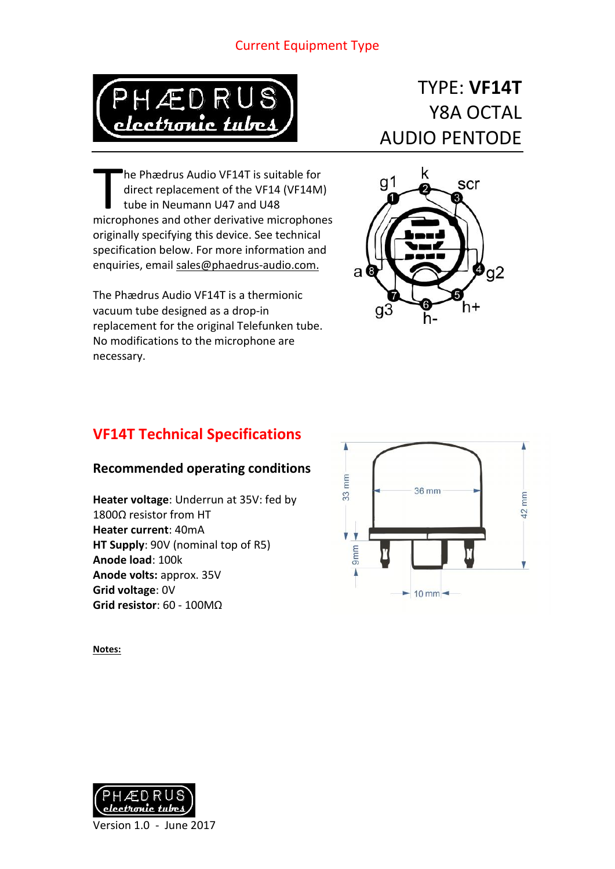## Current Equipment Type



# TYPE: **VF14T** Y8A OCTAL AUDIO PENTODE

he Phædrus Audio VF14T is suitable for direct replacement of the VF14 (VF14M) tube in Neumann U47 and U48 The Phædrus Audio VF14T is suitable for<br>direct replacement of the VF14 (VF14M)<br>tube in Neumann U47 and U48<br>microphones and other derivative microphones originally specifying this device. See technical specification below. For more information and enquiries, email sales@phaedrus-audio.com.

The Phædrus Audio VF14T is a thermionic vacuum tube designed as a drop-in replacement for the original Telefunken tube. No modifications to the microphone are necessary.

### k  $g<sub>1</sub>$ scr O 3  $\boldsymbol{\mathfrak{g}}_{92}$  $a$  $\epsilon$  $g\bar{3}$ h+ h-

# **VF14T Technical Specifications**

# **Recommended operating conditions**

**Heater voltage**: Underrun at 35V: fed by 1800Ω resistor from HT **Heater current**: 40mA **HT Supply**: 90V (nominal top of R5) **Anode load**: 100k **Anode volts:** approx. 35V **Grid voltage**: 0V **Grid resistor**: 60 - 100MΩ



**Notes:**